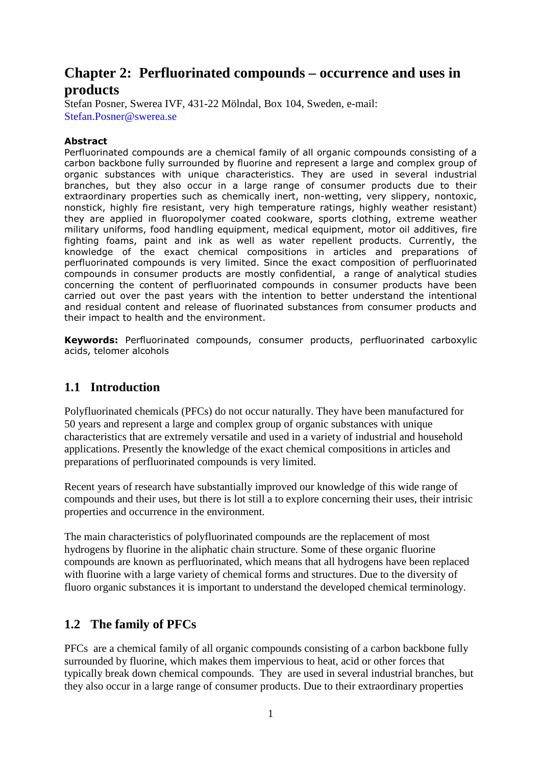#### **Chapter 2: Perfluorinated compounds – occurrence and uses in products**

Stefan Posner, Swerea IVF, 431-22 Mölndal, Box 104, Sweden, e-mail: Stefan.Posner@swerea.se

#### **Abstract**

Perfluorinated compounds are a chemical family of all organic compounds consisting of a carbon backbone fully surrounded by fluorine and represent a large and complex group of organic substances with unique characteristics. They are used in several industrial branches, but they also occur in a large range of consumer products due to their extraordinary properties such as chemically inert, non-wetting, very slippery, nontoxic, nonstick, highly fire resistant, very high temperature ratings, highly weather resistant) they are applied in fluoropolymer coated cookware, sports clothing, extreme weather military uniforms, food handling equipment, medical equipment, motor oil additives, fire fighting foams, paint and ink as well as water repellent products. Currently, the knowledge of the exact chemical compositions in articles and preparations of perfluorinated compounds is very limited. Since the exact composition of perfluorinated compounds in consumer products are mostly confidential, a range of analytical studies concerning the content of perfluorinated compounds in consumer products have been carried out over the past years with the intention to better understand the intentional and residual content and release of fluorinated substances from consumer products and their impact to health and the environment.

**Keywords:** Perfluorinated compounds, consumer products, perfluorinated carboxylic acids, telomer alcohols

#### **1.1 Introduction**

Polyfluorinated chemicals (PFCs) do not occur naturally. They have been manufactured for 50 years and represent a large and complex group of organic substances with unique characteristics that are extremely versatile and used in a variety of industrial and household applications. Presently the knowledge of the exact chemical compositions in articles and preparations of perfluorinated compounds is very limited.

Recent years of research have substantially improved our knowledge of this wide range of compounds and their uses, but there is lot still a to explore concerning their uses, their intrisic properties and occurrence in the environment.

The main characteristics of polyfluorinated compounds are the replacement of most hydrogens by fluorine in the aliphatic chain structure. Some of these organic fluorine compounds are known as perfluorinated, which means that all hydrogens have been replaced with fluorine with a large variety of chemical forms and structures. Due to the diversity of fluoro organic substances it is important to understand the developed chemical terminology.

#### **1.2 The family of PFCs**

PFCs are a chemical family of all organic compounds consisting of a carbon backbone fully surrounded by fluorine, which makes them impervious to heat, acid or other forces that typically break down chemical compounds. They are used in several industrial branches, but they also occur in a large range of consumer products. Due to their extraordinary properties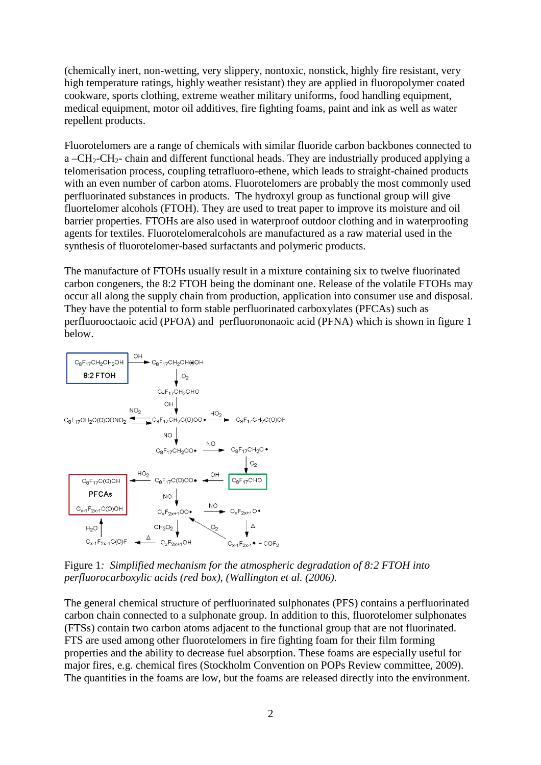(chemically inert, non-wetting, very slippery, nontoxic, nonstick, highly fire resistant, very high temperature ratings, highly weather resistant) they are applied in fluoropolymer coated cookware, sports clothing, extreme weather military uniforms, food handling equipment, medical equipment, motor oil additives, fire fighting foams, paint and ink as well as water repellent products.

Fluorotelomers are a range of chemicals with similar fluoride carbon backbones connected to a  $-CH_2-CH_2$ - chain and different functional heads. They are industrially produced applying a telomerisation process, coupling tetrafluoro-ethene, which leads to straight-chained products with an even number of carbon atoms. Fluorotelomers are probably the most commonly used perfluorinated substances in products. The hydroxyl group as functional group will give fluortelomer alcohols (FTOH). They are used to treat paper to improve its moisture and oil barrier properties. FTOHs are also used in waterproof outdoor clothing and in waterproofing agents for textiles. Fluorotelomeralcohols are manufactured as a raw material used in the synthesis of fluorotelomer-based surfactants and polymeric products.

The manufacture of FTOHs usually result in a mixture containing six to twelve fluorinated carbon congeners, the 8:2 FTOH being the dominant one. Release of the volatile FTOHs may occur all along the supply chain from production, application into consumer use and disposal. They have the potential to form stable perfluorinated carboxylates (PFCAs) such as perfluorooctaoic acid (PFOA) and perfluorononaoic acid (PFNA) which is shown in figure 1 below.



Figure 1*: Simplified mechanism for the atmospheric degradation of 8:2 FTOH into perfluorocarboxylic acids (red box), (Wallington et al. (2006).* 

The general chemical structure of perfluorinated sulphonates (PFS) contains a perfluorinated carbon chain connected to a sulphonate group. In addition to this, fluorotelomer sulphonates (FTSs) contain two carbon atoms adjacent to the functional group that are not fluorinated. FTS are used among other fluorotelomers in fire fighting foam for their film forming properties and the ability to decrease fuel absorption. These foams are especially useful for major fires, e.g. chemical fires (Stockholm Convention on POPs Review committee, 2009). The quantities in the foams are low, but the foams are released directly into the environment.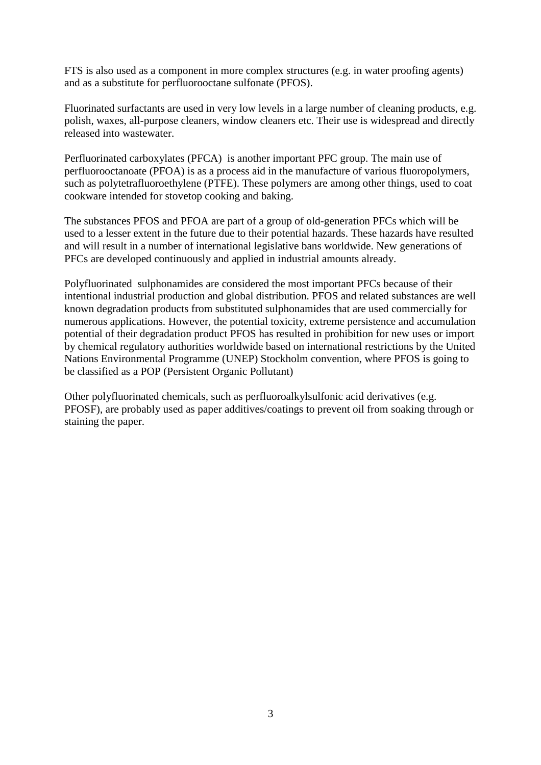FTS is also used as a component in more complex structures (e.g. in water proofing agents) and as a substitute for perfluorooctane sulfonate (PFOS).

Fluorinated surfactants are used in very low levels in a large number of cleaning products, e.g. polish, waxes, all-purpose cleaners, window cleaners etc. Their use is widespread and directly released into wastewater.

Perfluorinated carboxylates (PFCA) is another important PFC group. The main use of perfluorooctanoate (PFOA) is as a process aid in the manufacture of various fluoropolymers, such as polytetrafluoroethylene (PTFE). These polymers are among other things, used to coat cookware intended for stovetop cooking and baking.

The substances PFOS and PFOA are part of a group of old-generation PFCs which will be used to a lesser extent in the future due to their potential hazards. These hazards have resulted and will result in a number of international legislative bans worldwide. New generations of PFCs are developed continuously and applied in industrial amounts already.

Polyfluorinated sulphonamides are considered the most important PFCs because of their intentional industrial production and global distribution. PFOS and related substances are well known degradation products from substituted sulphonamides that are used commercially for numerous applications. However, the potential toxicity, extreme persistence and accumulation potential of their degradation product PFOS has resulted in prohibition for new uses or import by chemical regulatory authorities worldwide based on international restrictions by the United Nations Environmental Programme (UNEP) Stockholm convention, where PFOS is going to be classified as a POP (Persistent Organic Pollutant)

Other polyfluorinated chemicals, such as perfluoroalkylsulfonic acid derivatives (e.g. PFOSF), are probably used as paper additives/coatings to prevent oil from soaking through or staining the paper.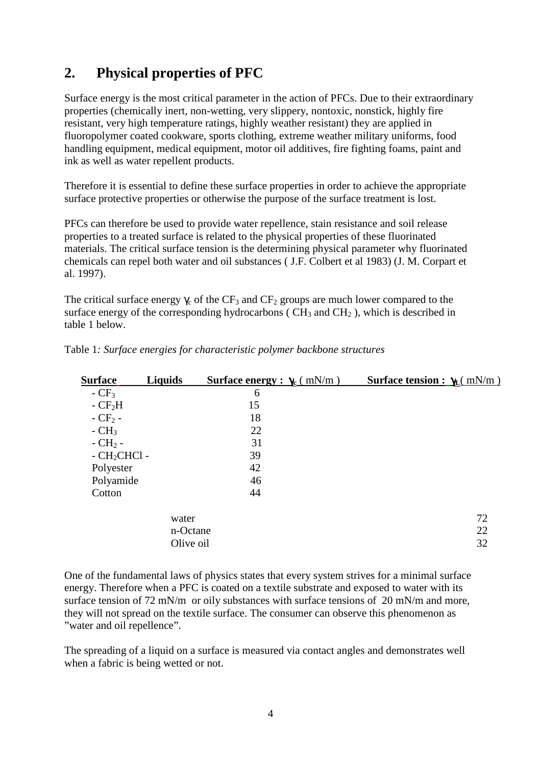## **2. Physical properties of PFC**

Surface energy is the most critical parameter in the action of PFCs. Due to their extraordinary properties (chemically inert, non-wetting, very slippery, nontoxic, nonstick, highly fire resistant, very high temperature ratings, highly weather resistant) they are applied in fluoropolymer coated cookware, sports clothing, extreme weather military uniforms, food handling equipment, medical equipment, motor oil additives, fire fighting foams, paint and ink as well as water repellent products.

Therefore it is essential to define these surface properties in order to achieve the appropriate surface protective properties or otherwise the purpose of the surface treatment is lost.

PFCs can therefore be used to provide water repellence, stain resistance and soil release properties to a treated surface is related to the physical properties of these fluorinated materials. The critical surface tension is the determining physical parameter why fluorinated chemicals can repel both water and oil substances ( J.F. Colbert et al 1983) (J. M. Corpart et al. 1997).

The critical surface energy  $\gamma_c$  of the CF<sub>3</sub> and CF<sub>2</sub> groups are much lower compared to the surface energy of the corresponding hydrocarbons ( $CH<sub>3</sub>$  and  $CH<sub>2</sub>$ ), which is described in table 1 below.

| <b>Surface</b> | <b>Liquids</b> | <b>Surface energy :</b> $\gamma_c$ (mN/m) | <b>Surface tension :</b> $\gamma_L(mN/m)$ |    |
|----------------|----------------|-------------------------------------------|-------------------------------------------|----|
| $-CF3$         |                | 6                                         |                                           |    |
| $-CF2H$        |                | 15                                        |                                           |    |
| $-CF2$ -       |                | 18                                        |                                           |    |
| $-CH3$         |                | 22                                        |                                           |    |
| $-CH2$ -       |                | 31                                        |                                           |    |
| $-CH2CHCl -$   |                | 39                                        |                                           |    |
| Polyester      |                | 42                                        |                                           |    |
| Polyamide      |                | 46                                        |                                           |    |
| Cotton         |                | 44                                        |                                           |    |
|                | water          |                                           |                                           | 72 |
|                | n-Octane       |                                           |                                           | 22 |
|                | Olive oil      |                                           |                                           | 32 |
|                |                |                                           |                                           |    |

Table 1*: Surface energies for characteristic polymer backbone structures* 

One of the fundamental laws of physics states that every system strives for a minimal surface energy. Therefore when a PFC is coated on a textile substrate and exposed to water with its surface tension of 72 mN/m or oily substances with surface tensions of 20 mN/m and more, they will not spread on the textile surface. The consumer can observe this phenomenon as "water and oil repellence".

The spreading of a liquid on a surface is measured via contact angles and demonstrates well when a fabric is being wetted or not.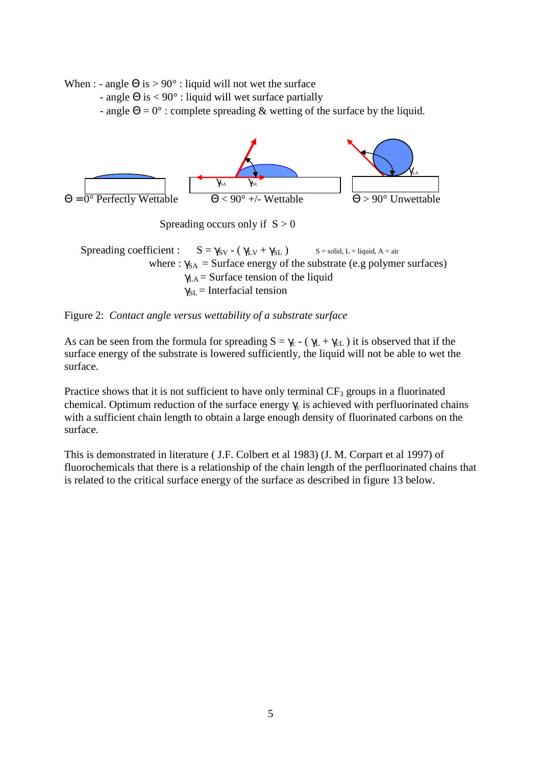When : - angle  $\Theta$  is > 90° : liquid will not wet the surface

- angle  $\Theta$  is < 90° : liquid will wet surface partially

- angle  $\Theta = 0^{\circ}$ : complete spreading & wetting of the surface by the liquid.



where :  $\gamma_{SA}$  = Surface energy of the substrate (e.g polymer surfaces)  $\gamma_{LA}$  = Surface tension of the liquid  $\gamma_{\rm SL}$  = Interfacial tension

#### Figure 2: *Contact angle versus wettability of a substrate surface*

As can be seen from the formula for spreading  $S = \gamma_c - (\gamma_L + \gamma_{cL})$  it is observed that if the surface energy of the substrate is lowered sufficiently, the liquid will not be able to wet the surface.

Practice shows that it is not sufficient to have only terminal  $CF_3$  groups in a fluorinated chemical. Optimum reduction of the surface energy  $\gamma_c$  is achieved with perfluorinated chains with a sufficient chain length to obtain a large enough density of fluorinated carbons on the surface.

This is demonstrated in literature ( J.F. Colbert et al 1983) (J. M. Corpart et al 1997) of fluorochemicals that there is a relationship of the chain length of the perfluorinated chains that is related to the critical surface energy of the surface as described in figure 13 below.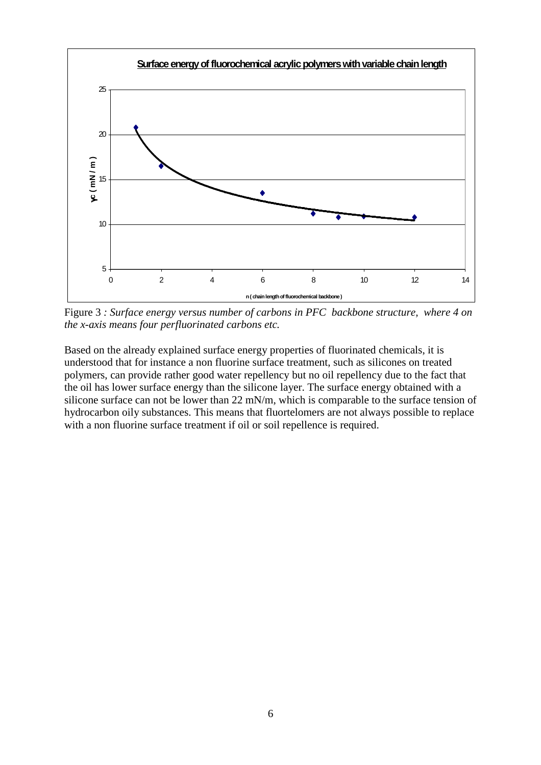

Figure 3 *: Surface energy versus number of carbons in PFC backbone structure, where 4 on the x-axis means four perfluorinated carbons etc.* 

Based on the already explained surface energy properties of fluorinated chemicals, it is understood that for instance a non fluorine surface treatment, such as silicones on treated polymers, can provide rather good water repellency but no oil repellency due to the fact that the oil has lower surface energy than the silicone layer. The surface energy obtained with a silicone surface can not be lower than 22 mN/m, which is comparable to the surface tension of hydrocarbon oily substances. This means that fluortelomers are not always possible to replace with a non fluorine surface treatment if oil or soil repellence is required.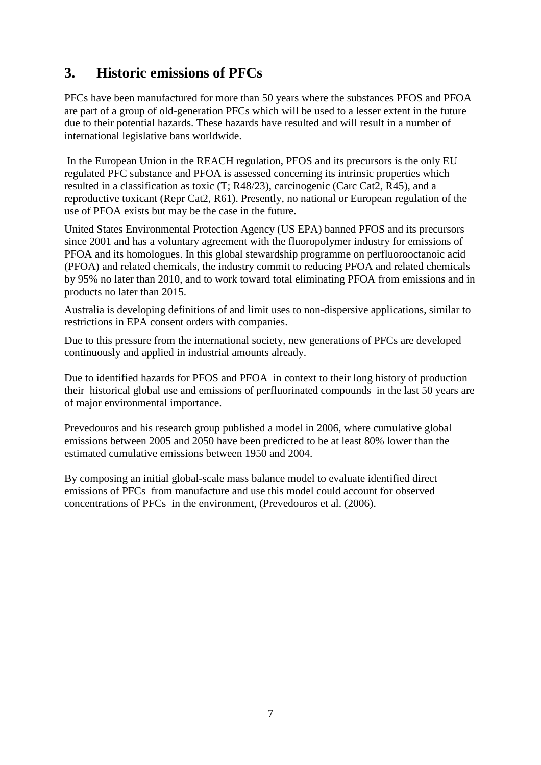## **3. Historic emissions of PFCs**

PFCs have been manufactured for more than 50 years where the substances PFOS and PFOA are part of a group of old-generation PFCs which will be used to a lesser extent in the future due to their potential hazards. These hazards have resulted and will result in a number of international legislative bans worldwide.

 In the European Union in the REACH regulation, PFOS and its precursors is the only EU regulated PFC substance and PFOA is assessed concerning its intrinsic properties which resulted in a classification as toxic (T; R48/23), carcinogenic (Carc Cat2, R45), and a reproductive toxicant (Repr Cat2, R61). Presently, no national or European regulation of the use of PFOA exists but may be the case in the future.

United States Environmental Protection Agency (US EPA) banned PFOS and its precursors since 2001 and has a voluntary agreement with the fluoropolymer industry for emissions of PFOA and its homologues. In this global stewardship programme on perfluorooctanoic acid (PFOA) and related chemicals, the industry commit to reducing PFOA and related chemicals by 95% no later than 2010, and to work toward total eliminating PFOA from emissions and in products no later than 2015.

Australia is developing definitions of and limit uses to non-dispersive applications, similar to restrictions in EPA consent orders with companies.

Due to this pressure from the international society, new generations of PFCs are developed continuously and applied in industrial amounts already.

Due to identified hazards for PFOS and PFOA in context to their long history of production their historical global use and emissions of perfluorinated compounds in the last 50 years are of major environmental importance.

Prevedouros and his research group published a model in 2006, where cumulative global emissions between 2005 and 2050 have been predicted to be at least 80% lower than the estimated cumulative emissions between 1950 and 2004.

By composing an initial global-scale mass balance model to evaluate identified direct emissions of PFCs from manufacture and use this model could account for observed concentrations of PFCs in the environment, (Prevedouros et al. (2006).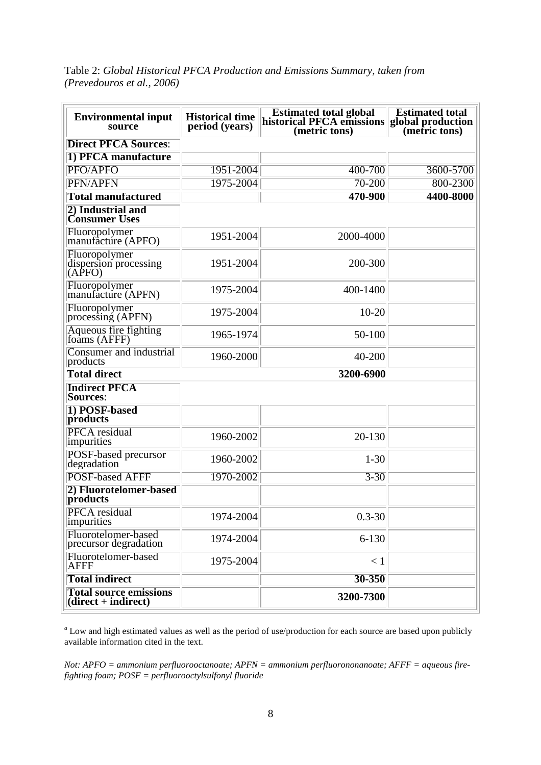Table 2: *Global Historical PFCA Production and Emissions Summary, taken from (Prevedouros et al., 2006)* 

| <b>Environmental input</b><br>source                   | <b>Historical time</b><br>period (years) | <b>Estimated total global Estimated total<br/>historical PFCA emissions global production</b><br>(metric tons) | (metric tons) |
|--------------------------------------------------------|------------------------------------------|----------------------------------------------------------------------------------------------------------------|---------------|
| <b>Direct PFCA Sources:</b>                            |                                          |                                                                                                                |               |
| 1) PFCA manufacture                                    |                                          |                                                                                                                |               |
| PFO/APFO                                               | 1951-2004                                | 400-700                                                                                                        | 3600-5700     |
| PFN/APFN                                               | 1975-2004                                | $70 - 200$                                                                                                     | 800-2300      |
| <b>Total manufactured</b>                              |                                          | 470-900                                                                                                        | 4400-8000     |
| 2) Industrial and<br><b>Consumer Uses</b>              |                                          |                                                                                                                |               |
| Fluoropolymer<br>manufacture (APFO)                    | 1951-2004                                | 2000-4000                                                                                                      |               |
| Fluoropolymer<br>dispersion processing<br>(APFO)       | 1951-2004                                | 200-300                                                                                                        |               |
| Fluoropolymer<br>manufacture (APFN)                    | 1975-2004                                | 400-1400                                                                                                       |               |
| Fluoropolymer<br>processing (APFN)                     | 1975-2004                                | $10 - 20$                                                                                                      |               |
| Aqueous fire fighting<br>foams (AFFF)                  | 1965-1974                                | 50-100                                                                                                         |               |
| Consumer and industrial<br>products                    | 1960-2000                                | 40-200                                                                                                         |               |
| <b>Total direct</b>                                    |                                          | 3200-6900                                                                                                      |               |
| <b>Indirect PFCA</b><br>Sources:                       |                                          |                                                                                                                |               |
| 1) POSF-based<br>products                              |                                          |                                                                                                                |               |
| <b>PFCA</b> residual<br>impurities                     | 1960-2002                                | 20-130                                                                                                         |               |
| POSF-based precursor<br>degradation                    | 1960-2002                                | $1 - 30$                                                                                                       |               |
| POSF-based AFFF                                        | 1970-2002                                | $3 - 30$                                                                                                       |               |
| 2) Fluorotelomer-based<br>products                     |                                          |                                                                                                                |               |
| <b>PFCA</b> residual<br>impurities                     | 1974-2004                                | $0.3 - 30$                                                                                                     |               |
| Fluorotelomer-based<br>precursor degradation           | 1974-2004                                | $6 - 130$                                                                                                      |               |
| Fluorotelomer-based<br>AFFF                            | 1975-2004                                | < 1                                                                                                            |               |
| <b>Total indirect</b>                                  |                                          | 30-350                                                                                                         |               |
| <b>Total source emissions</b><br>$(direct + indirect)$ |                                          | 3200-7300                                                                                                      |               |

<sup>a</sup> Low and high estimated values as well as the period of use/production for each source are based upon publicly available information cited in the text.

*Not: APFO = ammonium perfluorooctanoate; APFN = ammonium perfluorononanoate; AFFF = aqueous firefighting foam; POSF = perfluorooctylsulfonyl fluoride*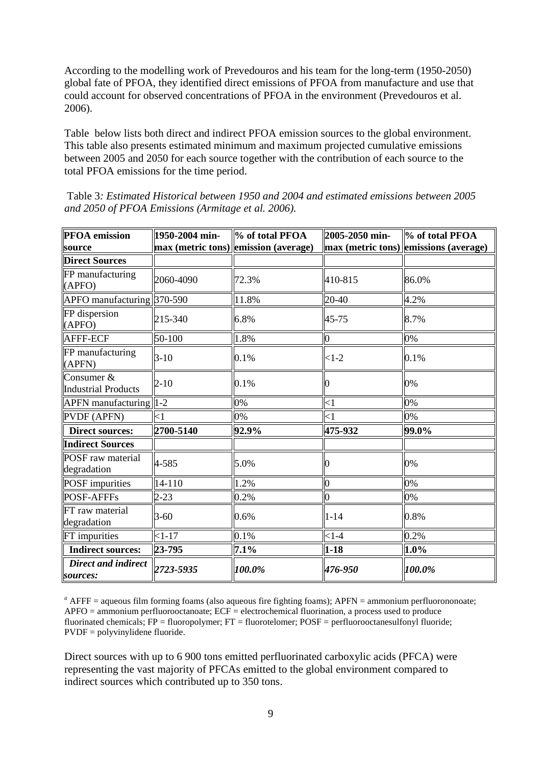According to the modelling work of Prevedouros and his team for the long-term (1950-2050) global fate of PFOA, they identified direct emissions of PFOA from manufacture and use that could account for observed concentrations of PFOA in the environment (Prevedouros et al. 2006).

Table below lists both direct and indirect PFOA emission sources to the global environment. This table also presents estimated minimum and maximum projected cumulative emissions between 2005 and 2050 for each source together with the contribution of each source to the total PFOA emissions for the time period.

| <b>PFOA</b> emission<br>source             | 1950-2004 min- | % of total PFOA<br>max (metric tons) emission (average) | 2005-2050 min- | $\%$ of total PFOA<br>$\max$ (metric tons) emissions (average) |
|--------------------------------------------|----------------|---------------------------------------------------------|----------------|----------------------------------------------------------------|
| <b>Direct Sources</b>                      |                |                                                         |                |                                                                |
| FP manufacturing<br>(APPO)                 | 2060-4090      | 72.3%                                                   | 410-815        | 86.0%                                                          |
| $APFO$ manufacturing $ 370-590$            |                | 11.8%                                                   | 20-40          | 4.2%                                                           |
| FP dispersion<br>(APPO)                    | 215-340        | 6.8%                                                    | 45-75          | 8.7%                                                           |
| <b>AFFF-ECF</b>                            | 50-100         | 1.8%                                                    | 0              | 0%                                                             |
| FP manufacturing<br>(APFN)                 | $3-10$         | 0.1%                                                    | $<1-2$         | 0.1%                                                           |
| Consumer $&$<br><b>Industrial Products</b> | $2 - 10$       | 0.1%                                                    | 0              | 0%                                                             |
| $APFN$ manufacturing   1-2                 |                | 0%                                                      | $<$ 1          | 0%                                                             |
| <b>PVDF (APFN)</b>                         | $\leq$ 1       | 0%                                                      | <1             | 0%                                                             |
| <b>Direct sources:</b>                     | 2700-5140      | 92.9%                                                   | 475-932        | 99.0%                                                          |
| <b>Indirect Sources</b>                    |                |                                                         |                |                                                                |
| POSF raw material<br>degradation           | 4-585          | 5.0%                                                    |                | 0%                                                             |
| POSF impurities                            | 14-110         | 1.2%                                                    | $\pmb{0}$      | 0%                                                             |
| <b>POSF-AFFFs</b>                          | $2 - 23$       | 0.2%                                                    | O              | 0%                                                             |
| FT raw material<br>degradation             | $3 - 60$       | 0.6%                                                    | $1 - 14$       | 0.8%                                                           |
| FT impurities                              | $<1-17$        | 0.1%                                                    | $< 1 - 4$      | 0.2%                                                           |
| Indirect sources:                          | 23-795         | 7.1%                                                    | $1 - 18$       | $1.0\%$                                                        |
| Direct and indirect<br>sources:            | 2723-5935      | 100.0%                                                  | 476-950        | 100.0%                                                         |

 Table 3*: Estimated Historical between 1950 and 2004 and estimated emissions between 2005 and 2050 of PFOA Emissions (Armitage et al. 2006).* 

<sup>a</sup> AFFF = aqueous film forming foams (also aqueous fire fighting foams); APFN = ammonium perfluorononoate;  $APFO =$  ammonium perfluorooctanoate;  $ECF =$  electrochemical fluorination, a process used to produce fluorinated chemicals;  $FP = \text{fluoropolymer}$ ;  $FT = \text{fluorotelomer}$ ;  $POST = \text{perfluorootanesulfonyl fluoride}$ ; PVDF = polyvinylidene fluoride.

Direct sources with up to 6 900 tons emitted perfluorinated carboxylic acids (PFCA) were representing the vast majority of PFCAs emitted to the global environment compared to indirect sources which contributed up to 350 tons.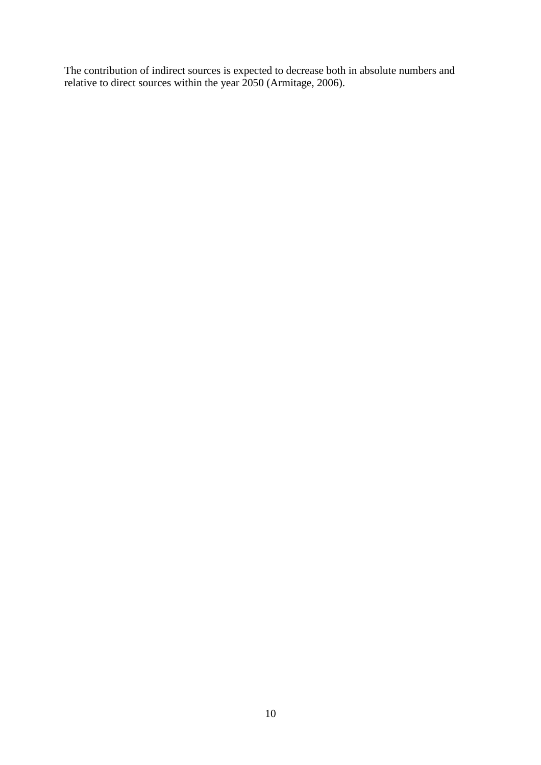The contribution of indirect sources is expected to decrease both in absolute numbers and relative to direct sources within the year 2050 (Armitage, 2006).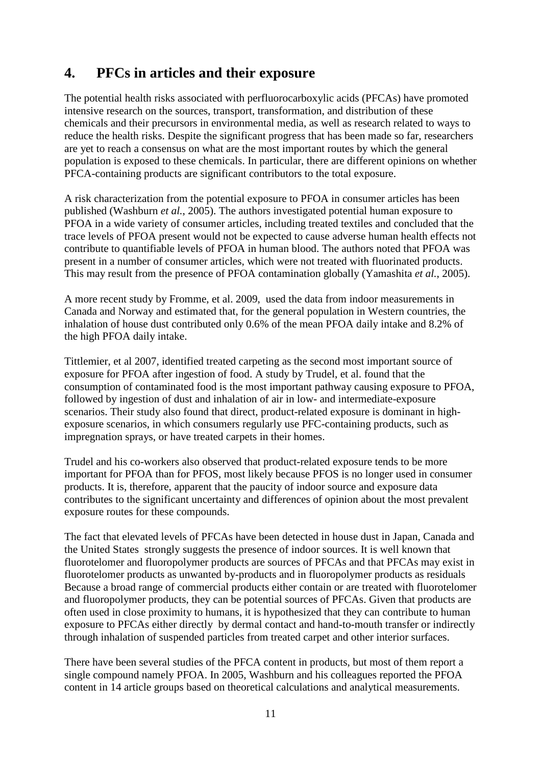### **4. PFCs in articles and their exposure**

The potential health risks associated with perfluorocarboxylic acids (PFCAs) have promoted intensive research on the sources, transport, transformation, and distribution of these chemicals and their precursors in environmental media, as well as research related to ways to reduce the health risks. Despite the significant progress that has been made so far, researchers are yet to reach a consensus on what are the most important routes by which the general population is exposed to these chemicals. In particular, there are different opinions on whether PFCA-containing products are significant contributors to the total exposure.

A risk characterization from the potential exposure to PFOA in consumer articles has been published (Washburn *et al.*, 2005). The authors investigated potential human exposure to PFOA in a wide variety of consumer articles, including treated textiles and concluded that the trace levels of PFOA present would not be expected to cause adverse human health effects not contribute to quantifiable levels of PFOA in human blood. The authors noted that PFOA was present in a number of consumer articles, which were not treated with fluorinated products. This may result from the presence of PFOA contamination globally (Yamashita *et al.*, 2005).

A more recent study by Fromme, et al. 2009, used the data from indoor measurements in Canada and Norway and estimated that, for the general population in Western countries, the inhalation of house dust contributed only 0.6% of the mean PFOA daily intake and 8.2% of the high PFOA daily intake.

Tittlemier, et al 2007, identified treated carpeting as the second most important source of exposure for PFOA after ingestion of food. A study by Trudel, et al. found that the consumption of contaminated food is the most important pathway causing exposure to PFOA, followed by ingestion of dust and inhalation of air in low- and intermediate-exposure scenarios. Their study also found that direct, product-related exposure is dominant in highexposure scenarios, in which consumers regularly use PFC-containing products, such as impregnation sprays, or have treated carpets in their homes.

Trudel and his co-workers also observed that product-related exposure tends to be more important for PFOA than for PFOS, most likely because PFOS is no longer used in consumer products. It is, therefore, apparent that the paucity of indoor source and exposure data contributes to the significant uncertainty and differences of opinion about the most prevalent exposure routes for these compounds.

The fact that elevated levels of PFCAs have been detected in house dust in Japan, Canada and the United States strongly suggests the presence of indoor sources. It is well known that fluorotelomer and fluoropolymer products are sources of PFCAs and that PFCAs may exist in fluorotelomer products as unwanted by-products and in fluoropolymer products as residuals Because a broad range of commercial products either contain or are treated with fluorotelomer and fluoropolymer products, they can be potential sources of PFCAs. Given that products are often used in close proximity to humans, it is hypothesized that they can contribute to human exposure to PFCAs either directly by dermal contact and hand-to-mouth transfer or indirectly through inhalation of suspended particles from treated carpet and other interior surfaces.

There have been several studies of the PFCA content in products, but most of them report a single compound namely PFOA. In 2005, Washburn and his colleagues reported the PFOA content in 14 article groups based on theoretical calculations and analytical measurements.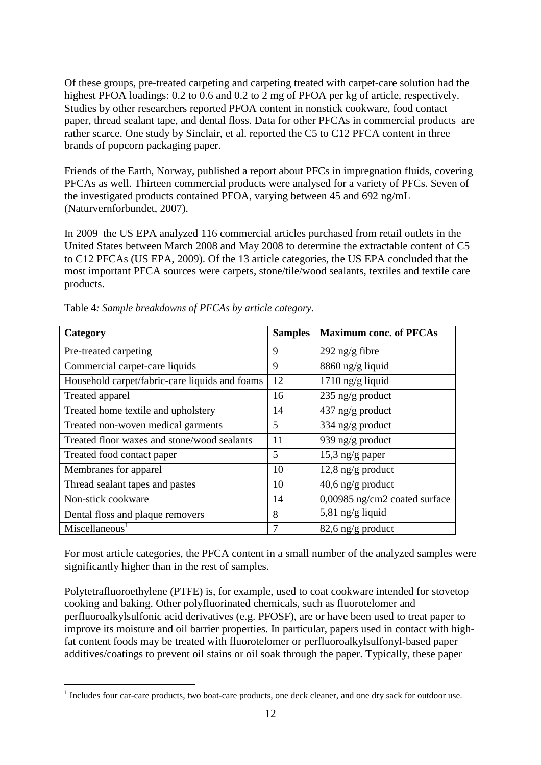Of these groups, pre-treated carpeting and carpeting treated with carpet-care solution had the highest PFOA loadings: 0.2 to 0.6 and 0.2 to 2 mg of PFOA per kg of article, respectively. Studies by other researchers reported PFOA content in nonstick cookware, food contact paper, thread sealant tape, and dental floss. Data for other PFCAs in commercial products are rather scarce. One study by Sinclair, et al. reported the C5 to C12 PFCA content in three brands of popcorn packaging paper.

Friends of the Earth, Norway, published a report about PFCs in impregnation fluids, covering PFCAs as well. Thirteen commercial products were analysed for a variety of PFCs. Seven of the investigated products contained PFOA, varying between 45 and 692 ng/mL (Naturvernforbundet, 2007).

In 2009 the US EPA analyzed 116 commercial articles purchased from retail outlets in the United States between March 2008 and May 2008 to determine the extractable content of C5 to C12 PFCAs (US EPA, 2009). Of the 13 article categories, the US EPA concluded that the most important PFCA sources were carpets, stone/tile/wood sealants, textiles and textile care products.

| Category                                       | <b>Samples</b> | <b>Maximum conc. of PFCAs</b> |  |
|------------------------------------------------|----------------|-------------------------------|--|
| Pre-treated carpeting                          | 9              | $292$ ng/g fibre              |  |
| Commercial carpet-care liquids                 | 9              | 8860 ng/g liquid              |  |
| Household carpet/fabric-care liquids and foams | 12             | $1710$ ng/g liquid            |  |
| Treated apparel                                | 16             | $235$ ng/g product            |  |
| Treated home textile and upholstery            | 14             | 437 ng/g product              |  |
| Treated non-woven medical garments             | 5              | 334 ng/g product              |  |
| Treated floor waxes and stone/wood sealants    | 11             | 939 ng/g product              |  |
| Treated food contact paper                     | 5              | $15,3$ ng/g paper             |  |
| Membranes for apparel                          | 10             | $12,8$ ng/g product           |  |
| Thread sealant tapes and pastes                | 10             | $40,6$ ng/g product           |  |
| Non-stick cookware                             | 14             | 0,00985 ng/cm2 coated surface |  |
| Dental floss and plaque removers               | 8              | $5,81$ ng/g liquid            |  |
| Miscellaneous <sup>1</sup>                     | $\overline{7}$ | $82,6$ ng/g product           |  |

Table 4*: Sample breakdowns of PFCAs by article category.* 

For most article categories, the PFCA content in a small number of the analyzed samples were significantly higher than in the rest of samples.

Polytetrafluoroethylene (PTFE) is, for example, used to coat cookware intended for stovetop cooking and baking. Other polyfluorinated chemicals, such as fluorotelomer and perfluoroalkylsulfonic acid derivatives (e.g. PFOSF), are or have been used to treat paper to improve its moisture and oil barrier properties. In particular, papers used in contact with highfat content foods may be treated with fluorotelomer or perfluoroalkylsulfonyl-based paper additives/coatings to prevent oil stains or oil soak through the paper. Typically, these paper

<sup>&</sup>lt;sup>1</sup> Includes four car-care products, two boat-care products, one deck cleaner, and one dry sack for outdoor use.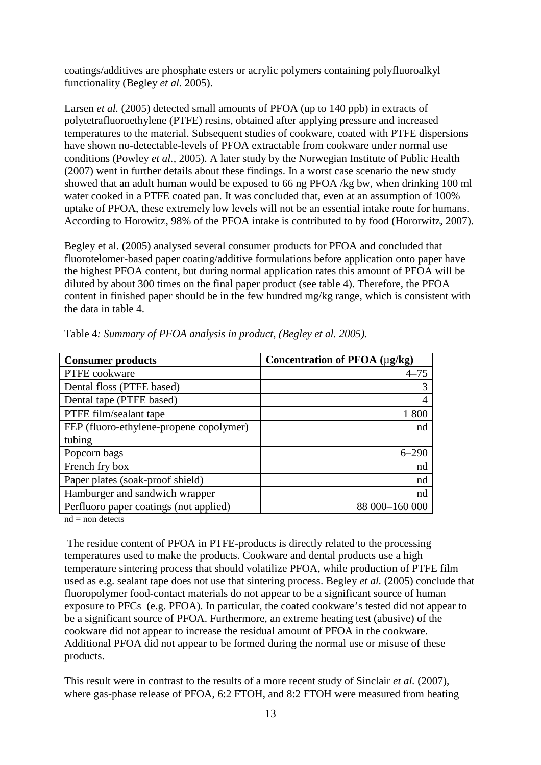coatings/additives are phosphate esters or acrylic polymers containing polyfluoroalkyl functionality (Begley *et al.* 2005).

Larsen *et al.* (2005) detected small amounts of PFOA (up to 140 ppb) in extracts of polytetrafluoroethylene (PTFE) resins, obtained after applying pressure and increased temperatures to the material. Subsequent studies of cookware, coated with PTFE dispersions have shown no-detectable-levels of PFOA extractable from cookware under normal use conditions (Powley *et al.,* 2005). A later study by the Norwegian Institute of Public Health (2007) went in further details about these findings. In a worst case scenario the new study showed that an adult human would be exposed to 66 ng PFOA /kg bw, when drinking 100 ml water cooked in a PTFE coated pan. It was concluded that, even at an assumption of 100% uptake of PFOA, these extremely low levels will not be an essential intake route for humans. According to Horowitz, 98% of the PFOA intake is contributed to by food (Hororwitz, 2007).

Begley et al. (2005) analysed several consumer products for PFOA and concluded that fluorotelomer-based paper coating/additive formulations before application onto paper have the highest PFOA content, but during normal application rates this amount of PFOA will be diluted by about 300 times on the final paper product (see table 4). Therefore, the PFOA content in finished paper should be in the few hundred mg/kg range, which is consistent with the data in table 4.

| <b>Consumer products</b>                | Concentration of PFOA $(\mu g/kg)$ |
|-----------------------------------------|------------------------------------|
| PTFE cookware                           | $4 - 75$                           |
| Dental floss (PTFE based)               |                                    |
| Dental tape (PTFE based)                |                                    |
| PTFE film/sealant tape                  | 1800                               |
| FEP (fluoro-ethylene-propene copolymer) | nd                                 |
| tubing                                  |                                    |
| Popcorn bags                            | $6 - 290$                          |
| French fry box                          | nd                                 |
| Paper plates (soak-proof shield)        | nd                                 |
| Hamburger and sandwich wrapper          | nd                                 |
| Perfluoro paper coatings (not applied)  | 88 000-160 000                     |

Table 4*: Summary of PFOA analysis in product, (Begley et al. 2005).* 

 $nd = non detects$ 

 The residue content of PFOA in PTFE-products is directly related to the processing temperatures used to make the products. Cookware and dental products use a high temperature sintering process that should volatilize PFOA, while production of PTFE film used as e.g. sealant tape does not use that sintering process. Begley *et al.* (2005) conclude that fluoropolymer food-contact materials do not appear to be a significant source of human exposure to PFCs (e.g. PFOA). In particular, the coated cookware's tested did not appear to be a significant source of PFOA. Furthermore, an extreme heating test (abusive) of the cookware did not appear to increase the residual amount of PFOA in the cookware. Additional PFOA did not appear to be formed during the normal use or misuse of these products.

This result were in contrast to the results of a more recent study of Sinclair *et al.* (2007), where gas-phase release of PFOA, 6:2 FTOH, and 8:2 FTOH were measured from heating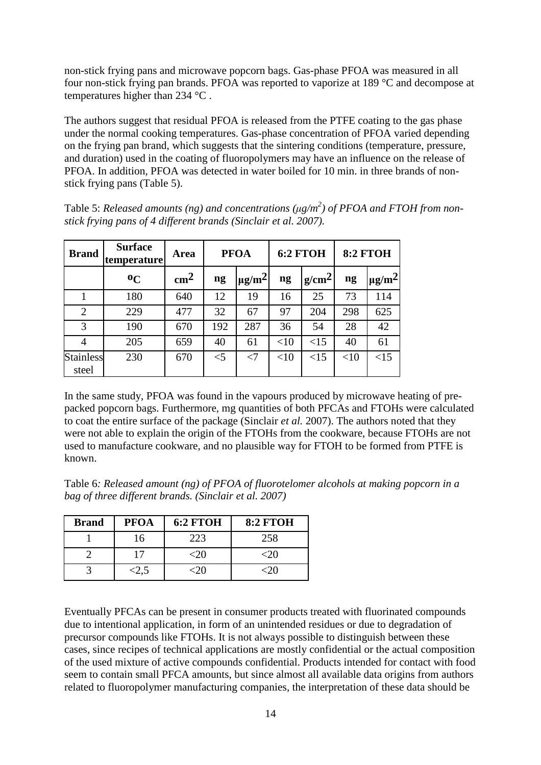non-stick frying pans and microwave popcorn bags. Gas-phase PFOA was measured in all four non-stick frying pan brands. PFOA was reported to vaporize at 189 °C and decompose at temperatures higher than 234 °C .

The authors suggest that residual PFOA is released from the PTFE coating to the gas phase under the normal cooking temperatures. Gas-phase concentration of PFOA varied depending on the frying pan brand, which suggests that the sintering conditions (temperature, pressure, and duration) used in the coating of fluoropolymers may have an influence on the release of PFOA. In addition, PFOA was detected in water boiled for 10 min. in three brands of nonstick frying pans (Table 5).

| <b>Brand</b>              | <b>Surface</b><br>temperature | Area       | <b>PFOA</b> |                        | <b>6:2 FTOH</b> |          | <b>8:2 FTOH</b> |                        |
|---------------------------|-------------------------------|------------|-------------|------------------------|-----------------|----------|-----------------|------------------------|
|                           | $\mathbf{0}$ C                | $\rm cm^2$ | ng          | $\mu$ g/m <sup>2</sup> | $\mathbf{ng}$   | $g/cm^2$ | ng              | $\mu$ g/m <sup>2</sup> |
|                           | 180                           | 640        | 12          | 19                     | 16              | 25       | 73              | 114                    |
| $\overline{2}$            | 229                           | 477        | 32          | 67                     | 97              | 204      | 298             | 625                    |
| 3                         | 190                           | 670        | 192         | 287                    | 36              | 54       | 28              | 42                     |
| 4                         | 205                           | 659        | 40          | 61                     | <10             | <15      | 40              | 61                     |
| <b>Stainless</b><br>steel | 230                           | 670        | $<$ 5       | $\leq$ 7               | <10             | <15      | <10             | <15                    |

Table 5: *Released amounts (ng) and concentrations (µg/m<sup>2</sup> ) of PFOA and FTOH from nonstick frying pans of 4 different brands (Sinclair et al. 2007).* 

In the same study, PFOA was found in the vapours produced by microwave heating of prepacked popcorn bags. Furthermore, mg quantities of both PFCAs and FTOHs were calculated to coat the entire surface of the package (Sinclair *et al.* 2007). The authors noted that they were not able to explain the origin of the FTOHs from the cookware, because FTOHs are not used to manufacture cookware, and no plausible way for FTOH to be formed from PTFE is known.

Table 6*: Released amount (ng) of PFOA of fluorotelomer alcohols at making popcorn in a bag of three different brands. (Sinclair et al. 2007)* 

| <b>Brand</b> | <b>PFOA</b> | <b>6:2 FTOH</b> | <b>8:2 FTOH</b> |
|--------------|-------------|-----------------|-----------------|
|              | .6          | 223             | 258             |
|              |             |                 |                 |
|              |             |                 |                 |

Eventually PFCAs can be present in consumer products treated with fluorinated compounds due to intentional application, in form of an unintended residues or due to degradation of precursor compounds like FTOHs. It is not always possible to distinguish between these cases, since recipes of technical applications are mostly confidential or the actual composition of the used mixture of active compounds confidential. Products intended for contact with food seem to contain small PFCA amounts, but since almost all available data origins from authors related to fluoropolymer manufacturing companies, the interpretation of these data should be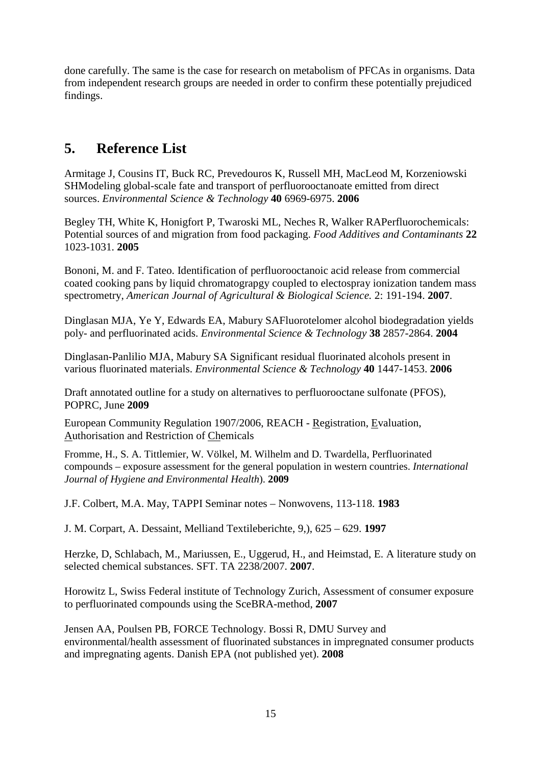done carefully. The same is the case for research on metabolism of PFCAs in organisms. Data from independent research groups are needed in order to confirm these potentially prejudiced findings.

# **5. Reference List**

Armitage J, Cousins IT, Buck RC, Prevedouros K, Russell MH, MacLeod M, Korzeniowski SHModeling global-scale fate and transport of perfluorooctanoate emitted from direct sources. *Environmental Science & Technology* **40** 6969-6975. **2006**

Begley TH, White K, Honigfort P, Twaroski ML, Neches R, Walker RAPerfluorochemicals: Potential sources of and migration from food packaging. *Food Additives and Contaminants* **22** 1023-1031. **2005** 

Bononi, M. and F. Tateo. Identification of perfluorooctanoic acid release from commercial coated cooking pans by liquid chromatograpgy coupled to electospray ionization tandem mass spectrometry, *American Journal of Agricultural & Biological Science.* 2: 191-194. **2007**.

Dinglasan MJA, Ye Y, Edwards EA, Mabury SAFluorotelomer alcohol biodegradation yields poly- and perfluorinated acids. *Environmental Science & Technology* **38** 2857-2864. **2004**

Dinglasan-Panlilio MJA, Mabury SA Significant residual fluorinated alcohols present in various fluorinated materials. *Environmental Science & Technology* **40** 1447-1453. **2006**

Draft annotated outline for a study on alternatives to perfluorooctane sulfonate (PFOS), POPRC, June **2009**

European Community Regulation 1907/2006, REACH - Registration, Evaluation, Authorisation and Restriction of Chemicals

Fromme, H., S. A. Tittlemier, W. Völkel, M. Wilhelm and D. Twardella, Perfluorinated compounds – exposure assessment for the general population in western countries. *International Journal of Hygiene and Environmental Health*). **2009**

J.F. Colbert, M.A. May, TAPPI Seminar notes – Nonwovens, 113-118. **1983**

J. M. Corpart, A. Dessaint, Melliand Textileberichte, 9,), 625 – 629. **1997**

Herzke, D, Schlabach, M., Mariussen, E., Uggerud, H., and Heimstad, E. A literature study on selected chemical substances. SFT. TA 2238/2007. **2007**.

Horowitz L, Swiss Federal institute of Technology Zurich, Assessment of consumer exposure to perfluorinated compounds using the SceBRA-method, **2007** 

Jensen AA, Poulsen PB, FORCE Technology. Bossi R, DMU Survey and environmental/health assessment of fluorinated substances in impregnated consumer products and impregnating agents. Danish EPA (not published yet). **2008**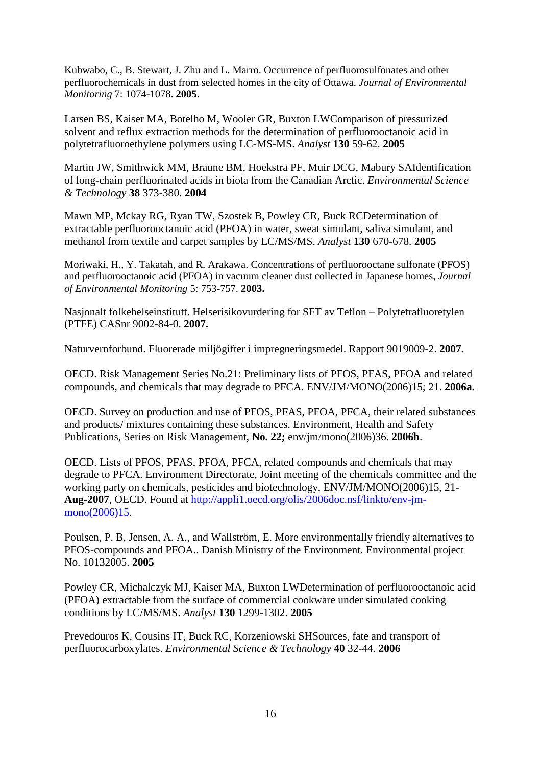Kubwabo, C., B. Stewart, J. Zhu and L. Marro. Occurrence of perfluorosulfonates and other perfluorochemicals in dust from selected homes in the city of Ottawa. *Journal of Environmental Monitoring* 7: 1074-1078. **2005**.

Larsen BS, Kaiser MA, Botelho M, Wooler GR, Buxton LWComparison of pressurized solvent and reflux extraction methods for the determination of perfluorooctanoic acid in polytetrafluoroethylene polymers using LC-MS-MS. *Analyst* **130** 59-62. **2005**

Martin JW, Smithwick MM, Braune BM, Hoekstra PF, Muir DCG, Mabury SAIdentification of long-chain perfluorinated acids in biota from the Canadian Arctic. *Environmental Science & Technology* **38** 373-380. **2004**

Mawn MP, Mckay RG, Ryan TW, Szostek B, Powley CR, Buck RCDetermination of extractable perfluorooctanoic acid (PFOA) in water, sweat simulant, saliva simulant, and methanol from textile and carpet samples by LC/MS/MS. *Analyst* **130** 670-678. **2005** 

Moriwaki, H., Y. Takatah, and R. Arakawa. Concentrations of perfluorooctane sulfonate (PFOS) and perfluorooctanoic acid (PFOA) in vacuum cleaner dust collected in Japanese homes, *Journal of Environmental Monitoring* 5: 753-757. **2003.**

Nasjonalt folkehelseinstitutt. Helserisikovurdering for SFT av Teflon – Polytetrafluoretylen (PTFE) CASnr 9002-84-0. **2007.**

Naturvernforbund. Fluorerade miljögifter i impregneringsmedel. Rapport 9019009-2. **2007.**

OECD. Risk Management Series No.21: Preliminary lists of PFOS, PFAS, PFOA and related compounds, and chemicals that may degrade to PFCA. ENV/JM/MONO(2006)15; 21. **2006a.**

OECD. Survey on production and use of PFOS, PFAS, PFOA, PFCA, their related substances and products/ mixtures containing these substances. Environment, Health and Safety Publications, Series on Risk Management, **No. 22;** env/jm/mono(2006)36. **2006b**.

OECD. Lists of PFOS, PFAS, PFOA, PFCA, related compounds and chemicals that may degrade to PFCA. Environment Directorate, Joint meeting of the chemicals committee and the working party on chemicals, pesticides and biotechnology, ENV/JM/MONO(2006)15, 21- **Aug-2007**, OECD. Found at http://appli1.oecd.org/olis/2006doc.nsf/linkto/env-jmmono(2006)15.

Poulsen, P. B, Jensen, A. A., and Wallström, E. More environmentally friendly alternatives to PFOS-compounds and PFOA.. Danish Ministry of the Environment. Environmental project No. 10132005. **2005** 

Powley CR, Michalczyk MJ, Kaiser MA, Buxton LWDetermination of perfluorooctanoic acid (PFOA) extractable from the surface of commercial cookware under simulated cooking conditions by LC/MS/MS. *Analyst* **130** 1299-1302. **2005**

Prevedouros K, Cousins IT, Buck RC, Korzeniowski SHSources, fate and transport of perfluorocarboxylates. *Environmental Science & Technology* **40** 32-44. **2006**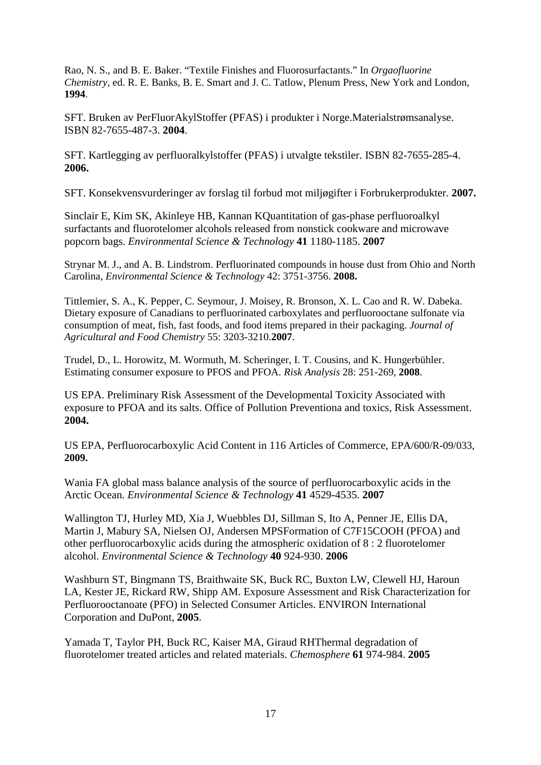Rao, N. S., and B. E. Baker. "Textile Finishes and Fluorosurfactants." In *Orgaofluorine Chemistry*, ed. R. E. Banks, B. E. Smart and J. C. Tatlow, Plenum Press, New York and London, **1994**.

SFT. Bruken av PerFluorAkylStoffer (PFAS) i produkter i Norge.Materialstrømsanalyse. ISBN 82-7655-487-3. **2004**.

SFT. Kartlegging av perfluoralkylstoffer (PFAS) i utvalgte tekstiler. ISBN 82-7655-285-4. **2006.** 

SFT. Konsekvensvurderinger av forslag til forbud mot miljøgifter i Forbrukerprodukter. **2007.**

Sinclair E, Kim SK, Akinleye HB, Kannan KQuantitation of gas-phase perfluoroalkyl surfactants and fluorotelomer alcohols released from nonstick cookware and microwave popcorn bags. *Environmental Science & Technology* **41** 1180-1185. **2007**

Strynar M. J., and A. B. Lindstrom. Perfluorinated compounds in house dust from Ohio and North Carolina, *Environmental Science & Technology* 42: 3751-3756. **2008.**

Tittlemier, S. A., K. Pepper, C. Seymour, J. Moisey, R. Bronson, X. L. Cao and R. W. Dabeka. Dietary exposure of Canadians to perfluorinated carboxylates and perfluorooctane sulfonate via consumption of meat, fish, fast foods, and food items prepared in their packaging. *Journal of Agricultural and Food Chemistry* 55: 3203-3210.**2007**.

Trudel, D., L. Horowitz, M. Wormuth, M. Scheringer, I. T. Cousins, and K. Hungerbühler. Estimating consumer exposure to PFOS and PFOA. *Risk Analysis* 28: 251-269, **2008**.

US EPA. Preliminary Risk Assessment of the Developmental Toxicity Associated with exposure to PFOA and its salts. Office of Pollution Preventiona and toxics, Risk Assessment. **2004.** 

US EPA, Perfluorocarboxylic Acid Content in 116 Articles of Commerce, EPA/600/R-09/033, **2009.** 

Wania FA global mass balance analysis of the source of perfluorocarboxylic acids in the Arctic Ocean. *Environmental Science & Technology* **41** 4529-4535. **2007**

Wallington TJ, Hurley MD, Xia J, Wuebbles DJ, Sillman S, Ito A, Penner JE, Ellis DA, Martin J, Mabury SA, Nielsen OJ, Andersen MPSFormation of C7F15COOH (PFOA) and other perfluorocarboxylic acids during the atmospheric oxidation of 8 : 2 fluorotelomer alcohol. *Environmental Science & Technology* **40** 924-930. **2006**

Washburn ST, Bingmann TS, Braithwaite SK, Buck RC, Buxton LW, Clewell HJ, Haroun LA, Kester JE, Rickard RW, Shipp AM. Exposure Assessment and Risk Characterization for Perfluorooctanoate (PFO) in Selected Consumer Articles. ENVIRON International Corporation and DuPont, **2005**.

Yamada T, Taylor PH, Buck RC, Kaiser MA, Giraud RHThermal degradation of fluorotelomer treated articles and related materials. *Chemosphere* **61** 974-984. **2005**